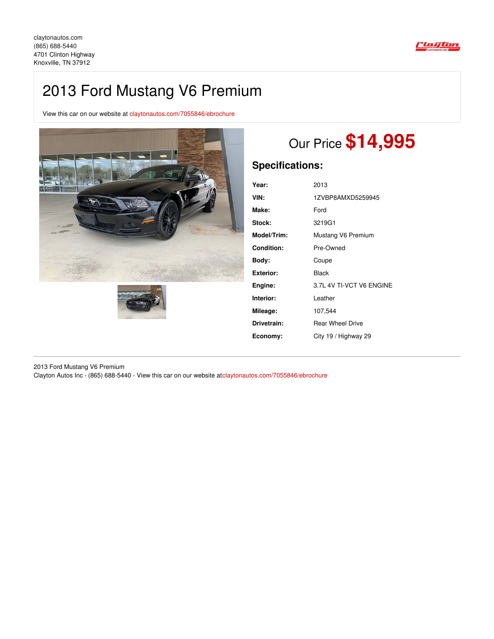

## 2013 Ford Mustang V6 Premium

View this car on our website at [claytonautos.com/7055846/ebrochure](https://claytonautos.com/vehicle/7055846/2013-ford-mustang-v6-premium-knoxville-tn-37912/7055846/ebrochure)





# Our Price **\$14,995**

### **Specifications:**

| Year:            | 2013                     |
|------------------|--------------------------|
| VIN:             | 1ZVBP8AMXD5259945        |
| Make:            | Ford                     |
| Stock:           | 3219G1                   |
| Model/Trim:      | Mustang V6 Premium       |
| Condition:       | Pre-Owned                |
| Bodv:            | Coupe                    |
| <b>Exterior:</b> | Black                    |
| Engine:          | 3.7L 4V TI-VCT V6 ENGINE |
| Interior:        | Leather                  |
| Mileage:         | 107,544                  |
| Drivetrain:      | <b>Rear Wheel Drive</b>  |
| Economy:         | City 19 / Highway 29     |

2013 Ford Mustang V6 Premium Clayton Autos Inc - (865) 688-5440 - View this car on our website at[claytonautos.com/7055846/ebrochure](https://claytonautos.com/vehicle/7055846/2013-ford-mustang-v6-premium-knoxville-tn-37912/7055846/ebrochure)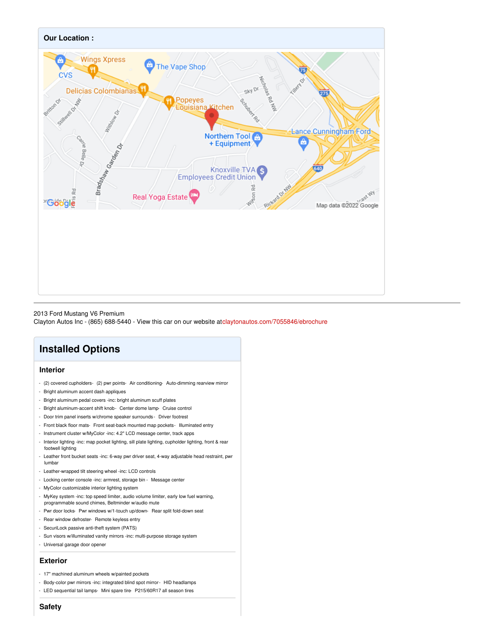

#### 2013 Ford Mustang V6 Premium

Clayton Autos Inc - (865) 688-5440 - View this car on our website at[claytonautos.com/7055846/ebrochure](https://claytonautos.com/vehicle/7055846/2013-ford-mustang-v6-premium-knoxville-tn-37912/7055846/ebrochure)

## **Installed Options**

#### **Interior**

- (2) covered cupholders- (2) pwr points- Air conditioning- Auto-dimming rearview mirror
- Bright aluminum accent dash appliques
- Bright aluminum pedal covers -inc: bright aluminum scuff plates
- Bright aluminum-accent shift knob- Center dome lamp- Cruise control
- Door trim panel inserts w/chrome speaker surrounds Driver footrest
- Front black floor mats- Front seat-back mounted map pockets- Illuminated entry
- Instrument cluster w/MyColor -inc: 4.2" LCD message center, track apps
- Interior lighting -inc: map pocket lighting, sill plate lighting, cupholder lighting, front & rear footwell lighting
- Leather front bucket seats -inc: 6-way pwr driver seat, 4-way adjustable head restraint, pwr lumbar
- Leather-wrapped tilt steering wheel -inc: LCD controls
- Locking center console -inc: armrest, storage bin Message center
- MyColor customizable interior lighting system
- MyKey system -inc: top speed limiter, audio volume limiter, early low fuel warning, programmable sound chimes, Beltminder w/audio mute
- Pwr door locks- Pwr windows w/1-touch up/down- Rear split fold-down seat
- Rear window defroster- Remote keyless entry
- SecuriLock passive anti-theft system (PATS)
- Sun visors w/illuminated vanity mirrors -inc: multi-purpose storage system
- Universal garage door opener

#### **Exterior**

- 17" machined aluminum wheels w/painted pockets
- Body-color pwr mirrors -inc: integrated blind spot mirror- HID headlamps
- LED sequential tail lamps- Mini spare tire- P215/60R17 all season tires